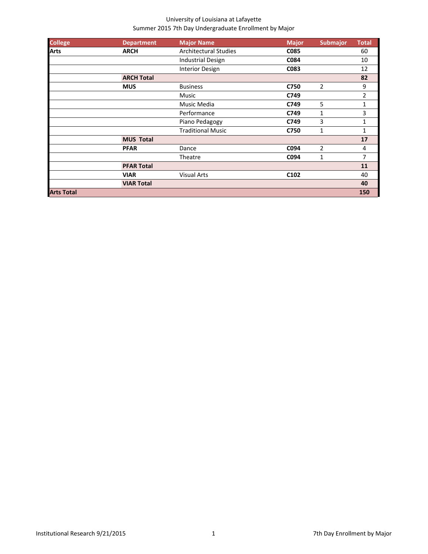| <b>College</b>    | <b>Department</b> | <b>Major Name</b>            | <b>Major</b> | <b>Submajor</b> | <b>Total</b>   |
|-------------------|-------------------|------------------------------|--------------|-----------------|----------------|
| <b>Arts</b>       | <b>ARCH</b>       | <b>Architectural Studies</b> | C085         |                 | 60             |
|                   |                   | <b>Industrial Design</b>     | C084         |                 | 10             |
|                   |                   | <b>Interior Design</b>       | C083         |                 | 12             |
|                   | <b>ARCH Total</b> |                              |              |                 | 82             |
|                   | <b>MUS</b>        | <b>Business</b>              | C750         | $\overline{c}$  | 9              |
|                   |                   | Music                        | C749         |                 | 2              |
|                   |                   | Music Media                  | C749         | 5               | 1              |
|                   |                   | Performance                  | C749         | 1               | 3              |
|                   |                   | Piano Pedagogy               | C749         | 3               | 1              |
|                   |                   | <b>Traditional Music</b>     | C750         | 1               | $\mathbf{1}$   |
|                   | <b>MUS Total</b>  |                              |              |                 | 17             |
|                   | <b>PFAR</b>       | Dance                        | C094         | $\overline{2}$  | 4              |
|                   |                   | Theatre                      | C094         | 1               | $\overline{7}$ |
|                   | <b>PFAR Total</b> |                              |              |                 | 11             |
|                   | <b>VIAR</b>       | <b>Visual Arts</b>           | C102         |                 | 40             |
|                   | <b>VIAR Total</b> |                              |              |                 | 40             |
| <b>Arts Total</b> |                   |                              |              |                 | 150            |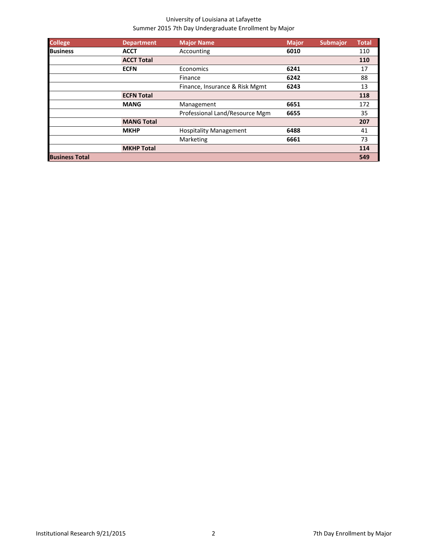| <b>College</b>        | <b>Department</b> | <b>Major Name</b>              | <b>Major</b> | <b>Submajor</b> | <b>Total</b> |
|-----------------------|-------------------|--------------------------------|--------------|-----------------|--------------|
| <b>Business</b>       | <b>ACCT</b>       | Accounting                     | 6010         |                 | 110          |
|                       | <b>ACCT Total</b> |                                |              |                 | 110          |
|                       | <b>ECFN</b>       | Economics                      | 6241         |                 | 17           |
|                       |                   | Finance                        | 6242         |                 | 88           |
|                       |                   | Finance, Insurance & Risk Mgmt | 6243         |                 | 13           |
|                       | <b>ECFN Total</b> |                                |              |                 | 118          |
|                       | <b>MANG</b>       | Management                     | 6651         |                 | 172          |
|                       |                   | Professional Land/Resource Mgm | 6655         |                 | 35           |
|                       | <b>MANG Total</b> |                                |              |                 | 207          |
|                       | <b>MKHP</b>       | <b>Hospitality Management</b>  | 6488         |                 | 41           |
|                       |                   | Marketing                      | 6661         |                 | 73           |
|                       | <b>MKHP Total</b> |                                |              |                 | 114          |
| <b>Business Total</b> |                   |                                |              |                 | 549          |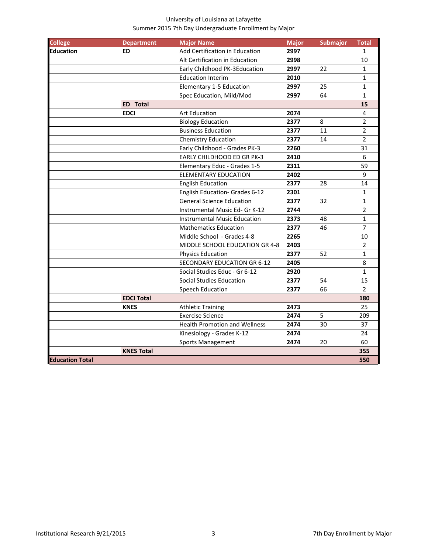| <b>College</b>         | <b>Department</b> | <b>Major Name</b>                    | <b>Major</b> | <b>Submajor</b> | <b>Total</b>    |
|------------------------|-------------------|--------------------------------------|--------------|-----------------|-----------------|
| <b>Education</b>       | <b>ED</b>         | Add Certification in Education       | 2997         |                 | $\mathbf{1}$    |
|                        |                   | Alt Certification in Education       | 2998         |                 | 10              |
|                        |                   | Early Childhood PK-3Education        | 2997         | 22              | $\mathbf{1}$    |
|                        |                   | <b>Education Interim</b>             | 2010         |                 | $\mathbf{1}$    |
|                        |                   | Elementary 1-5 Education             | 2997         | 25              | $\mathbf 1$     |
|                        |                   | Spec Education, Mild/Mod             | 2997         | 64              | $\mathbf 1$     |
|                        | <b>ED</b> Total   |                                      |              |                 | 15              |
|                        | <b>EDCI</b>       | <b>Art Education</b>                 | 2074         |                 | 4               |
|                        |                   | <b>Biology Education</b>             | 2377         | 8               | $\overline{2}$  |
|                        |                   | <b>Business Education</b>            | 2377         | 11              | $\overline{2}$  |
|                        |                   | <b>Chemistry Education</b>           | 2377         | 14              | $\overline{2}$  |
|                        |                   | Early Childhood - Grades PK-3        | 2260         |                 | 31              |
|                        |                   | EARLY CHILDHOOD ED GR PK-3           | 2410         |                 | $6\phantom{1}6$ |
|                        |                   | Elementary Educ - Grades 1-5         | 2311         |                 | 59              |
|                        |                   | <b>ELEMENTARY EDUCATION</b>          | 2402         |                 | 9               |
|                        |                   | <b>English Education</b>             | 2377         | 28              | 14              |
|                        |                   | English Education- Grades 6-12       | 2301         |                 | 1               |
|                        |                   | <b>General Science Education</b>     | 2377         | 32              | $\mathbf{1}$    |
|                        |                   | Instrumental Music Ed- Gr K-12       | 2744         |                 | $\overline{2}$  |
|                        |                   | Instrumental Music Education         | 2373         | 48              | $\mathbf{1}$    |
|                        |                   | <b>Mathematics Education</b>         | 2377         | 46              | $\overline{7}$  |
|                        |                   | Middle School - Grades 4-8           | 2265         |                 | 10              |
|                        |                   | MIDDLE SCHOOL EDUCATION GR 4-8       | 2403         |                 | $\overline{2}$  |
|                        |                   | <b>Physics Education</b>             | 2377         | 52              | $\mathbf{1}$    |
|                        |                   | <b>SECONDARY EDUCATION GR 6-12</b>   | 2405         |                 | 8               |
|                        |                   | Social Studies Educ - Gr 6-12        | 2920         |                 | $\mathbf 1$     |
|                        |                   | <b>Social Studies Education</b>      | 2377         | 54              | 15              |
|                        |                   | Speech Education                     | 2377         | 66              | $\overline{2}$  |
|                        | <b>EDCI Total</b> |                                      |              |                 | 180             |
|                        | <b>KNES</b>       | <b>Athletic Training</b>             | 2473         |                 | 25              |
|                        |                   | <b>Exercise Science</b>              | 2474         | 5               | 209             |
|                        |                   | <b>Health Promotion and Wellness</b> | 2474         | 30              | 37              |
|                        |                   | Kinesiology - Grades K-12            | 2474         |                 | 24              |
|                        |                   | <b>Sports Management</b>             | 2474         | 20              | 60              |
|                        | <b>KNES Total</b> |                                      |              |                 | 355             |
| <b>Education Total</b> |                   |                                      |              |                 | 550             |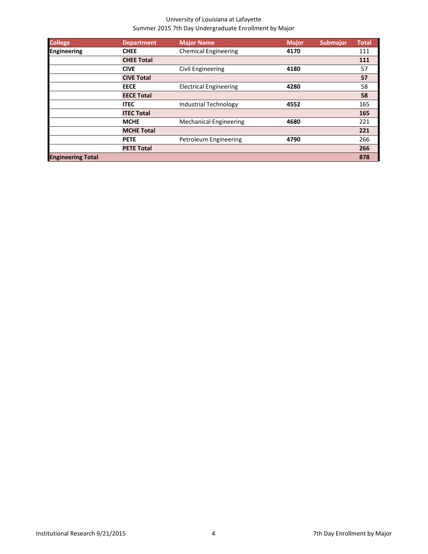| <b>College</b>           | <b>Department</b> | <b>Major Name</b>             | <b>Major</b> | <b>Submajor</b> | <b>Total</b> |
|--------------------------|-------------------|-------------------------------|--------------|-----------------|--------------|
| <b>Engineering</b>       | <b>CHEE</b>       | <b>Chemical Engineering</b>   | 4170         |                 | 111          |
|                          | <b>CHEE Total</b> |                               |              |                 | 111          |
|                          | <b>CIVE</b>       | <b>Civil Engineering</b>      | 4180         |                 | 57           |
|                          | <b>CIVE Total</b> |                               |              |                 | 57           |
|                          | <b>EECE</b>       | <b>Electrical Engineering</b> | 4280         |                 | 58           |
|                          | <b>EECE Total</b> |                               |              |                 | 58           |
|                          | <b>ITEC</b>       | <b>Industrial Technology</b>  | 4552         |                 | 165          |
|                          | <b>ITEC Total</b> |                               |              |                 | 165          |
|                          | <b>MCHE</b>       | <b>Mechanical Engineering</b> | 4680         |                 | 221          |
|                          | <b>MCHE Total</b> |                               |              |                 | 221          |
|                          | <b>PETE</b>       | Petroleum Engineering         | 4790         |                 | 266          |
|                          | <b>PETE Total</b> |                               |              |                 | 266          |
| <b>Engineering Total</b> |                   |                               |              |                 | 878          |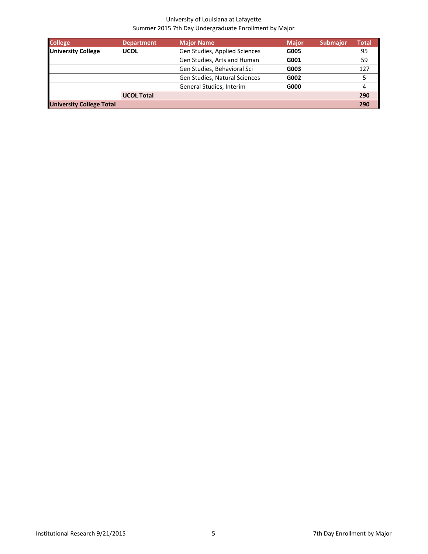| <b>College</b>                  | <b>Department</b> | <b>Major Name</b>             | <b>Major</b> | <b>Submajor</b> | Total |
|---------------------------------|-------------------|-------------------------------|--------------|-----------------|-------|
| <b>University College</b>       | <b>UCOL</b>       | Gen Studies, Applied Sciences | G005         |                 | 95    |
|                                 |                   | Gen Studies, Arts and Human   | G001         |                 | 59    |
|                                 |                   | Gen Studies, Behavioral Sci   | G003         |                 | 127   |
|                                 |                   | Gen Studies, Natural Sciences | G002         |                 | 5     |
|                                 |                   | General Studies, Interim      | G000         |                 | 4     |
|                                 | <b>UCOL Total</b> |                               |              |                 | 290   |
| <b>University College Total</b> |                   |                               |              |                 | 290   |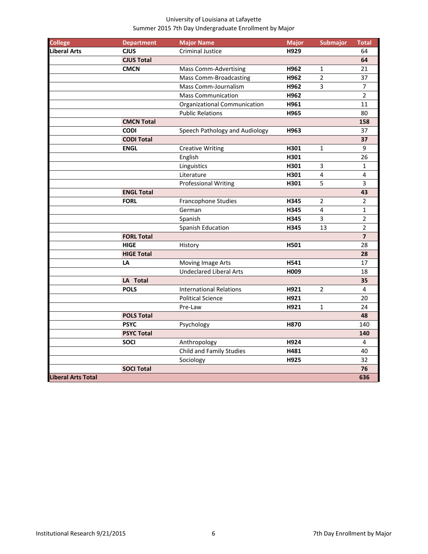| <b>College</b>            | <b>Department</b> | <b>Major Name</b>              | <b>Major</b> | <b>Submajor</b> | <b>Total</b>   |
|---------------------------|-------------------|--------------------------------|--------------|-----------------|----------------|
| <b>Liberal Arts</b>       | <b>CJUS</b>       | <b>Criminal Justice</b>        | H929         |                 | 64             |
|                           | <b>CJUS Total</b> |                                |              |                 | 64             |
|                           | <b>CMCN</b>       | <b>Mass Comm-Advertising</b>   | H962         | 1               | 21             |
|                           |                   | <b>Mass Comm-Broadcasting</b>  | H962         | $\overline{2}$  | 37             |
|                           |                   | Mass Comm-Journalism           | H962         | 3               | $\overline{7}$ |
|                           |                   | <b>Mass Communication</b>      | H962         |                 | $\overline{2}$ |
|                           |                   | Organizational Communication   | H961         |                 | 11             |
|                           |                   | <b>Public Relations</b>        | H965         |                 | 80             |
|                           | <b>CMCN Total</b> |                                |              |                 | 158            |
|                           | <b>CODI</b>       | Speech Pathology and Audiology | H963         |                 | 37             |
|                           | <b>CODI Total</b> |                                |              |                 | 37             |
|                           | <b>ENGL</b>       | <b>Creative Writing</b>        | H301         | 1               | 9              |
|                           |                   | English                        | H301         |                 | 26             |
|                           |                   | Linguistics                    | H301         | 3               | $\mathbf{1}$   |
|                           |                   | Literature                     | H301         | 4               | 4              |
|                           |                   | <b>Professional Writing</b>    | H301         | 5               | 3              |
|                           | <b>ENGL Total</b> |                                |              |                 | 43             |
|                           | <b>FORL</b>       | Francophone Studies            | H345         | $\overline{c}$  | $\overline{2}$ |
|                           |                   | German                         | H345         | 4               | $\mathbf{1}$   |
|                           |                   | Spanish                        | H345         | 3               | $\overline{2}$ |
|                           |                   | Spanish Education              | H345         | 13              | $\overline{2}$ |
|                           | <b>FORL Total</b> |                                |              |                 | $\overline{7}$ |
|                           | <b>HIGE</b>       | History                        | H501         |                 | 28             |
|                           | <b>HIGE Total</b> |                                |              |                 | 28             |
|                           | LA                | Moving Image Arts              | H541         |                 | 17             |
|                           |                   | <b>Undeclared Liberal Arts</b> | H009         |                 | 18             |
|                           | LA Total          |                                |              |                 | 35             |
|                           | <b>POLS</b>       | <b>International Relations</b> | H921         | $\overline{2}$  | 4              |
|                           |                   | <b>Political Science</b>       | H921         |                 | 20             |
|                           |                   | Pre-Law                        | H921         | 1               | 24             |
|                           | <b>POLS Total</b> |                                |              |                 | 48             |
|                           | <b>PSYC</b>       | Psychology                     | H870         |                 | 140            |
|                           | <b>PSYC Total</b> |                                |              |                 | 140            |
|                           | <b>SOCI</b>       | Anthropology                   | H924         |                 | 4              |
|                           |                   | Child and Family Studies       | H481         |                 | 40             |
|                           |                   | Sociology                      | H925         |                 | 32             |
|                           | <b>SOCI Total</b> |                                |              |                 | 76             |
| <b>Liberal Arts Total</b> |                   |                                |              |                 | 636            |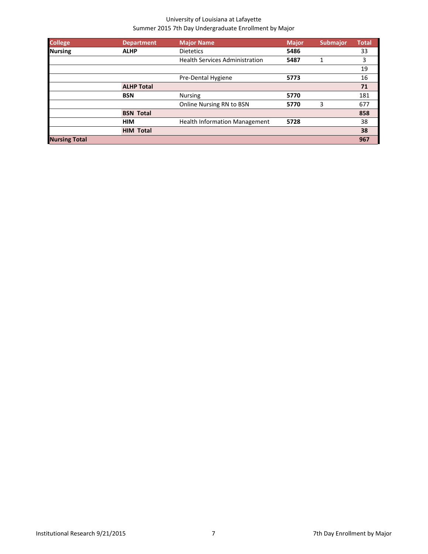| <b>College</b>       | <b>Department</b> | <b>Major Name</b>                     | <b>Major</b> | <b>Submajor</b> | <b>Total</b> |
|----------------------|-------------------|---------------------------------------|--------------|-----------------|--------------|
| <b>Nursing</b>       | <b>ALHP</b>       | <b>Dietetics</b>                      | 5486         |                 | 33           |
|                      |                   | <b>Health Services Administration</b> | 5487         |                 | 3            |
|                      |                   |                                       |              |                 | 19           |
|                      |                   | Pre-Dental Hygiene                    | 5773         |                 | 16           |
|                      | <b>ALHP Total</b> |                                       |              |                 | 71           |
|                      | <b>BSN</b>        | <b>Nursing</b>                        | 5770         |                 | 181          |
|                      |                   | Online Nursing RN to BSN              | 5770         | 3               | 677          |
|                      | <b>BSN Total</b>  |                                       |              |                 | 858          |
|                      | <b>HIM</b>        | <b>Health Information Management</b>  | 5728         |                 | 38           |
|                      | <b>HIM Total</b>  |                                       |              |                 | 38           |
| <b>Nursing Total</b> |                   |                                       |              |                 | 967          |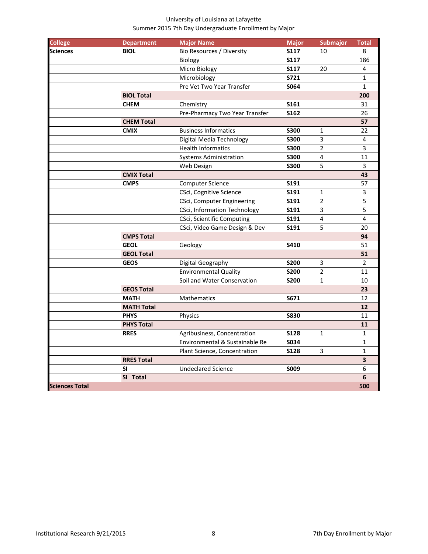| <b>College</b><br><b>Sciences</b> | <b>Department</b><br><b>BIOL</b> | <b>Major Name</b><br>Bio Resources / Diversity | <b>Major</b><br><b>S117</b> | <b>Submajor</b><br>10 | <b>Total</b><br>8 |
|-----------------------------------|----------------------------------|------------------------------------------------|-----------------------------|-----------------------|-------------------|
|                                   |                                  | Biology                                        | <b>S117</b>                 |                       | 186               |
|                                   |                                  | Micro Biology                                  | <b>S117</b>                 | 20                    | 4                 |
|                                   |                                  | Microbiology                                   | <b>S721</b>                 |                       | $\mathbf{1}$      |
|                                   |                                  | Pre Vet Two Year Transfer                      | S064                        |                       | $\mathbf{1}$      |
|                                   |                                  |                                                |                             |                       |                   |
|                                   | <b>BIOL Total</b>                |                                                |                             |                       | 200               |
|                                   | <b>CHEM</b>                      | Chemistry                                      | S161                        |                       | 31                |
|                                   |                                  | Pre-Pharmacy Two Year Transfer                 | S162                        |                       | 26                |
|                                   | <b>CHEM Total</b>                |                                                |                             |                       | 57                |
|                                   | <b>CMIX</b>                      | <b>Business Informatics</b>                    | <b>S300</b>                 | 1                     | 22                |
|                                   |                                  | Digital Media Technology                       | <b>S300</b>                 | 3                     | 4                 |
|                                   |                                  | <b>Health Informatics</b>                      | <b>S300</b>                 | 2                     | $\overline{3}$    |
|                                   |                                  | <b>Systems Administration</b>                  | <b>S300</b>                 | 4                     | 11                |
|                                   |                                  | Web Design                                     | <b>S300</b>                 | 5                     | 3                 |
|                                   | <b>CMIX Total</b>                |                                                |                             |                       | 43                |
|                                   | <b>CMPS</b>                      | <b>Computer Science</b>                        | S191                        |                       | 57                |
|                                   |                                  | CSci, Cognitive Science                        | <b>S191</b>                 | $\mathbf{1}$          | 3                 |
|                                   |                                  | <b>CSci, Computer Engineering</b>              | <b>S191</b>                 | $\overline{2}$        | 5                 |
|                                   |                                  | <b>CSci, Information Technology</b>            | S191                        | 3                     | 5                 |
|                                   |                                  | <b>CSci, Scientific Computing</b>              | S191                        | 4                     | 4                 |
|                                   |                                  | CSci, Video Game Design & Dev                  | S191                        | 5                     | 20                |
|                                   | <b>CMPS Total</b>                |                                                |                             |                       | 94                |
|                                   | <b>GEOL</b>                      | Geology                                        | S410                        |                       | 51                |
|                                   | <b>GEOL Total</b>                |                                                |                             |                       | 51                |
|                                   | <b>GEOS</b>                      | Digital Geography                              | <b>S200</b>                 | 3                     | $\overline{2}$    |
|                                   |                                  | <b>Environmental Quality</b>                   | <b>S200</b>                 | $\overline{2}$        | 11                |
|                                   |                                  | Soil and Water Conservation                    | <b>S200</b>                 | 1                     | 10                |
|                                   | <b>GEOS Total</b>                |                                                |                             |                       | 23                |
|                                   | <b>MATH</b>                      | Mathematics                                    | S671                        |                       | 12                |
|                                   | <b>MATH Total</b>                |                                                |                             |                       | 12                |
|                                   | <b>PHYS</b>                      | Physics                                        | <b>S830</b>                 |                       | 11                |
|                                   | <b>PHYS Total</b>                |                                                |                             |                       | 11                |
|                                   | <b>RRES</b>                      | Agribusiness, Concentration                    | <b>S128</b>                 | $\mathbf{1}$          | $\mathbf{1}$      |
|                                   |                                  | Environmental & Sustainable Re                 | <b>S034</b>                 |                       | $\mathbf{1}$      |
|                                   |                                  | Plant Science, Concentration                   | S128                        | 3                     | $\mathbf{1}$      |
|                                   | <b>RRES Total</b>                |                                                |                             |                       | 3                 |
|                                   | <b>SI</b>                        | <b>Undeclared Science</b>                      | <b>SOO9</b>                 |                       | 6                 |
|                                   | SI Total                         |                                                |                             |                       | 6                 |
| <b>Sciences Total</b>             |                                  |                                                |                             |                       | 500               |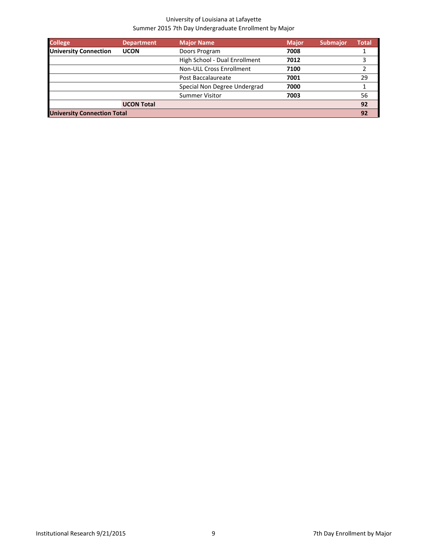| <b>College</b>                     | <b>Department</b> | <b>Major Name</b>               | <b>Major</b> | <b>Submajor</b> | <b>Total</b> |
|------------------------------------|-------------------|---------------------------------|--------------|-----------------|--------------|
| <b>University Connection</b>       | <b>UCON</b>       | Doors Program                   | 7008         |                 |              |
|                                    |                   | High School - Dual Enrollment   | 7012         |                 | 3            |
|                                    |                   | <b>Non-ULL Cross Enrollment</b> | 7100         |                 |              |
|                                    |                   | Post Baccalaureate              | 7001         |                 | 29           |
|                                    |                   | Special Non Degree Undergrad    | 7000         |                 |              |
|                                    |                   | <b>Summer Visitor</b>           | 7003         |                 | 56           |
|                                    | <b>UCON Total</b> |                                 |              |                 | 92           |
| <b>University Connection Total</b> |                   |                                 |              |                 | 92           |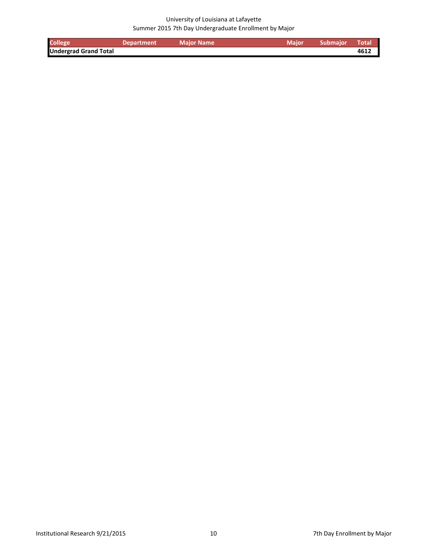| <b>College</b>               | <b>Department</b> | <b>Major Name</b> | Major Submajor | <b>N</b> Total |
|------------------------------|-------------------|-------------------|----------------|----------------|
| <b>Undergrad Grand Total</b> |                   |                   |                | 4612           |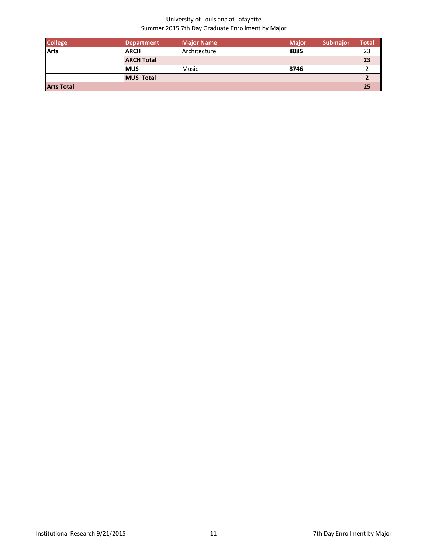| <b>College</b>    | <b>Department</b> | <b>Major Name</b> | <b>Major</b> | <b>Submajor</b> | Total |
|-------------------|-------------------|-------------------|--------------|-----------------|-------|
| <b>Arts</b>       | <b>ARCH</b>       | Architecture      | 8085         |                 | 23    |
|                   | <b>ARCH Total</b> |                   |              |                 | 23    |
|                   | <b>MUS</b>        | Music             | 8746         |                 |       |
|                   | <b>MUS Total</b>  |                   |              |                 |       |
| <b>Arts Total</b> |                   |                   |              |                 | 25    |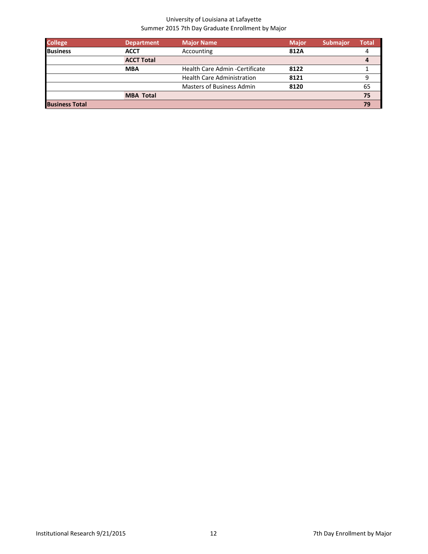| <b>College</b>        | <b>Department</b> | <b>Major Name</b>                 | <b>Major</b> | <b>Submajor</b> | Total |
|-----------------------|-------------------|-----------------------------------|--------------|-----------------|-------|
| <b>Business</b>       | <b>ACCT</b>       | Accounting                        | 812A         |                 |       |
|                       | <b>ACCT Total</b> |                                   |              |                 |       |
|                       | <b>MBA</b>        | Health Care Admin - Certificate   | 8122         |                 |       |
|                       |                   | <b>Health Care Administration</b> | 8121         |                 | 9     |
|                       |                   | <b>Masters of Business Admin</b>  | 8120         |                 | 65    |
|                       | <b>MBA Total</b>  |                                   |              |                 | 75    |
| <b>Business Total</b> |                   |                                   |              |                 | 79    |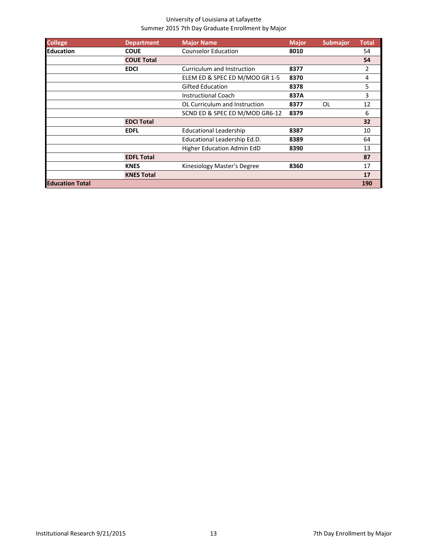| <b>College</b>         | <b>Department</b> | <b>Major Name</b>              | <b>Major</b> | <b>Submajor</b> | <b>Total</b> |
|------------------------|-------------------|--------------------------------|--------------|-----------------|--------------|
| <b>Education</b>       | <b>COUE</b>       | <b>Counselor Education</b>     | 8010         |                 | 54           |
|                        | <b>COUE Total</b> |                                |              |                 | 54           |
|                        | <b>EDCI</b>       | Curriculum and Instruction     | 8377         |                 | 2            |
|                        |                   | ELEM ED & SPEC ED M/MOD GR 1-5 | 8370         |                 | 4            |
|                        |                   | <b>Gifted Education</b>        | 8378         |                 | 5            |
|                        |                   | <b>Instructional Coach</b>     | 837A         |                 | 3            |
|                        |                   | OL Curriculum and Instruction  | 8377         | 0L              | 12           |
|                        |                   | SCND ED & SPEC ED M/MOD GR6-12 | 8379         |                 | 6            |
|                        | <b>EDCI Total</b> |                                |              |                 | 32           |
|                        | <b>EDFL</b>       | <b>Educational Leadership</b>  | 8387         |                 | 10           |
|                        |                   | Educational Leadership Ed.D.   | 8389         |                 | 64           |
|                        |                   | Higher Education Admin EdD     | 8390         |                 | 13           |
|                        | <b>EDFL Total</b> |                                |              |                 | 87           |
|                        | <b>KNES</b>       | Kinesiology Master's Degree    | 8360         |                 | 17           |
|                        | <b>KNES Total</b> |                                |              |                 | 17           |
| <b>Education Total</b> |                   |                                |              |                 | 190          |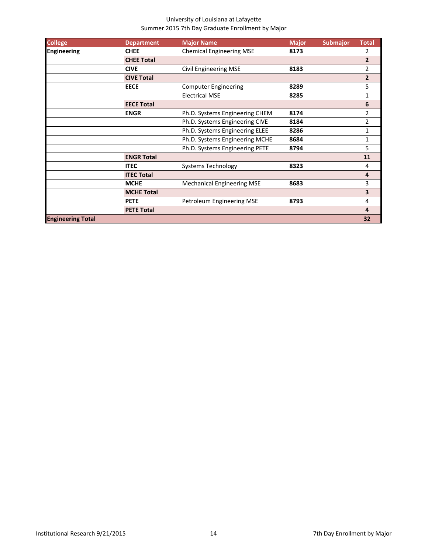| <b>College</b>           | <b>Department</b> | <b>Major Name</b>                 | <b>Major</b> | <b>Submajor</b> | <b>Total</b>   |
|--------------------------|-------------------|-----------------------------------|--------------|-----------------|----------------|
| <b>Engineering</b>       | <b>CHEE</b>       | <b>Chemical Engineering MSE</b>   | 8173         |                 | 2              |
|                          | <b>CHEE Total</b> |                                   |              |                 | $\overline{2}$ |
|                          | <b>CIVE</b>       | <b>Civil Engineering MSE</b>      | 8183         |                 | 2              |
|                          | <b>CIVE Total</b> |                                   |              |                 | $\overline{2}$ |
|                          | <b>EECE</b>       | <b>Computer Engineering</b>       | 8289         |                 | 5              |
|                          |                   | <b>Electrical MSE</b>             | 8285         |                 | 1              |
|                          | <b>EECE Total</b> |                                   |              |                 | 6              |
|                          | <b>ENGR</b>       | Ph.D. Systems Engineering CHEM    | 8174         |                 | 2              |
|                          |                   | Ph.D. Systems Engineering CIVE    | 8184         |                 | 2              |
|                          |                   | Ph.D. Systems Engineering ELEE    | 8286         |                 | 1              |
|                          |                   | Ph.D. Systems Engineering MCHE    | 8684         |                 | 1              |
|                          |                   | Ph.D. Systems Engineering PETE    | 8794         |                 | 5.             |
|                          | <b>ENGR Total</b> |                                   |              |                 | 11             |
|                          | <b>ITEC</b>       | <b>Systems Technology</b>         | 8323         |                 | 4              |
|                          | <b>ITEC Total</b> |                                   |              |                 | 4              |
|                          | <b>MCHE</b>       | <b>Mechanical Engineering MSE</b> | 8683         |                 | 3              |
|                          | <b>MCHE Total</b> |                                   |              |                 | 3              |
|                          | <b>PETE</b>       | Petroleum Engineering MSE         | 8793         |                 | 4              |
|                          | <b>PETE Total</b> |                                   |              |                 | 4              |
| <b>Engineering Total</b> |                   |                                   |              |                 | 32             |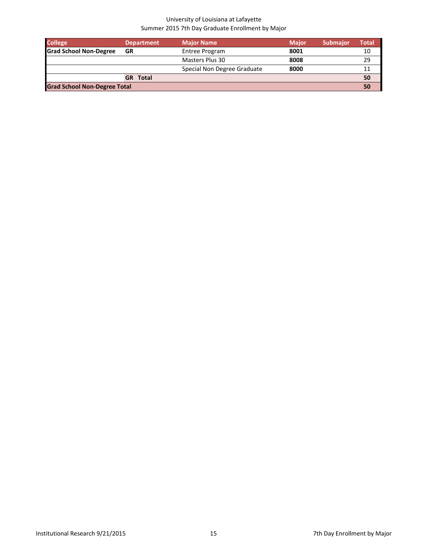| <b>College</b>                      | <b>Department</b> | <b>Major Name</b>           | <b>Maior</b> | <b>Submajor</b> | Total |
|-------------------------------------|-------------------|-----------------------------|--------------|-----------------|-------|
| <b>Grad School Non-Degree</b>       | GR                | Entree Program              | 8001         |                 | 10    |
|                                     |                   | Masters Plus 30             | 8008         |                 | 29    |
|                                     |                   | Special Non Degree Graduate | 8000         |                 | 11    |
|                                     | <b>GR</b> Total   |                             |              |                 | 50    |
| <b>Grad School Non-Degree Total</b> |                   |                             |              |                 | 50    |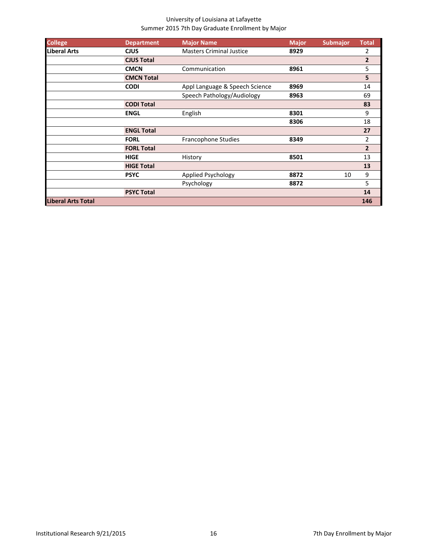| <b>College</b>            | <b>Department</b> | <b>Major Name</b>               | <b>Major</b> | <b>Submajor</b> | <b>Total</b>   |
|---------------------------|-------------------|---------------------------------|--------------|-----------------|----------------|
| <b>Liberal Arts</b>       | <b>CJUS</b>       | <b>Masters Criminal Justice</b> | 8929         |                 | 2              |
|                           | <b>CJUS Total</b> |                                 |              |                 | $\overline{2}$ |
|                           | <b>CMCN</b>       | Communication                   | 8961         |                 | 5              |
|                           | <b>CMCN Total</b> |                                 |              |                 | 5              |
|                           | <b>CODI</b>       | Appl Language & Speech Science  | 8969         |                 | 14             |
|                           |                   | Speech Pathology/Audiology      | 8963         |                 | 69             |
|                           | <b>CODI Total</b> |                                 |              |                 | 83             |
|                           | <b>ENGL</b>       | English                         | 8301         |                 | 9              |
|                           |                   |                                 | 8306         |                 | 18             |
|                           | <b>ENGL Total</b> |                                 |              |                 | 27             |
|                           | <b>FORL</b>       | Francophone Studies             | 8349         |                 | $\overline{2}$ |
|                           | <b>FORL Total</b> |                                 |              |                 | $\overline{2}$ |
|                           | <b>HIGE</b>       | History                         | 8501         |                 | 13             |
|                           | <b>HIGE Total</b> |                                 |              |                 | 13             |
|                           | <b>PSYC</b>       | Applied Psychology              | 8872         | 10              | 9              |
|                           |                   | Psychology                      | 8872         |                 | 5              |
|                           | <b>PSYC Total</b> |                                 |              |                 | 14             |
| <b>Liberal Arts Total</b> |                   |                                 |              |                 | 146            |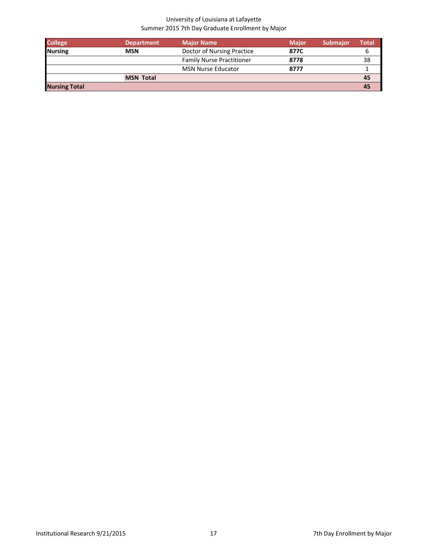| <b>College</b>       | <b>Department</b> | <b>Major Name</b>                | <b>Major</b> | <b>Submajor</b> | Total |
|----------------------|-------------------|----------------------------------|--------------|-----------------|-------|
| <b>Nursing</b>       | <b>MSN</b>        | Doctor of Nursing Practice       | 877C         |                 |       |
|                      |                   | <b>Family Nurse Practitioner</b> | 8778         |                 | 38    |
|                      |                   | <b>MSN Nurse Educator</b>        | 8777         |                 |       |
|                      | <b>MSN Total</b>  |                                  |              |                 | 45    |
| <b>Nursing Total</b> |                   |                                  |              |                 | 45    |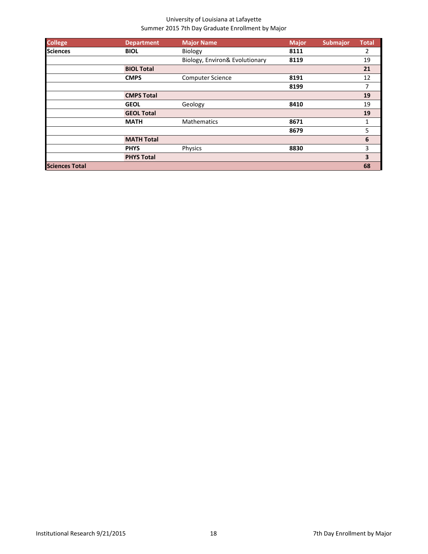| <b>College</b>        | <b>Department</b> | <b>Major Name</b>              | <b>Major</b> | <b>Submajor</b> | <b>Total</b> |
|-----------------------|-------------------|--------------------------------|--------------|-----------------|--------------|
| <b>Sciences</b>       | <b>BIOL</b>       | Biology                        | 8111         |                 | 2            |
|                       |                   | Biology, Environ& Evolutionary | 8119         |                 | 19           |
|                       | <b>BIOL Total</b> |                                |              |                 | 21           |
|                       | <b>CMPS</b>       | <b>Computer Science</b>        | 8191         |                 | 12           |
|                       |                   |                                | 8199         |                 | 7            |
|                       | <b>CMPS Total</b> |                                |              |                 | 19           |
|                       | <b>GEOL</b>       | Geology                        | 8410         |                 | 19           |
|                       | <b>GEOL Total</b> |                                |              |                 | 19           |
|                       | <b>MATH</b>       | <b>Mathematics</b>             | 8671         |                 | 1            |
|                       |                   |                                | 8679         |                 | 5            |
|                       | <b>MATH Total</b> |                                |              |                 | 6            |
|                       | <b>PHYS</b>       | Physics                        | 8830         |                 | 3            |
|                       | <b>PHYS Total</b> |                                |              |                 | 3            |
| <b>Sciences Total</b> |                   |                                |              |                 | 68           |